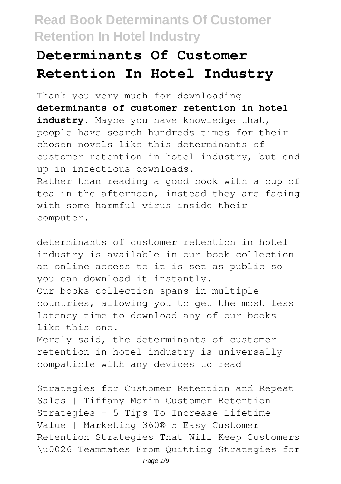# **Determinants Of Customer Retention In Hotel Industry**

Thank you very much for downloading **determinants of customer retention in hotel industry**. Maybe you have knowledge that, people have search hundreds times for their chosen novels like this determinants of customer retention in hotel industry, but end up in infectious downloads. Rather than reading a good book with a cup of tea in the afternoon, instead they are facing with some harmful virus inside their computer.

determinants of customer retention in hotel industry is available in our book collection an online access to it is set as public so you can download it instantly. Our books collection spans in multiple countries, allowing you to get the most less latency time to download any of our books like this one. Merely said, the determinants of customer retention in hotel industry is universally compatible with any devices to read

Strategies for Customer Retention and Repeat Sales | Tiffany Morin Customer Retention Strategies - 5 Tips To Increase Lifetime Value | Marketing 360® 5 Easy Customer Retention Strategies That Will Keep Customers \u0026 Teammates From Quitting Strategies for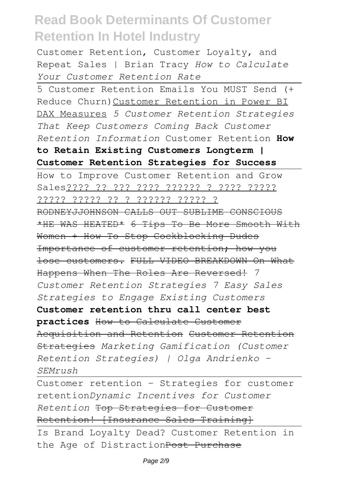Customer Retention, Customer Loyalty, and Repeat Sales | Brian Tracy *How to Calculate Your Customer Retention Rate*

5 Customer Retention Emails You MUST Send (+ Reduce Churn)Customer Retention in Power BI DAX Measures *5 Customer Retention Strategies That Keep Customers Coming Back Customer Retention Information* Customer Retention **How to Retain Existing Customers Longterm | Customer Retention Strategies for Success**

How to Improve Customer Retention and Grow Sales???? ?? ??? ???? ?????? ? ???? ????? ????? ????? ?? ? ?????? ????? ? RODNEYJJOHNSON CALLS OUT SUBLIME CONSCIOUS \*HE WAS HEATED\* 6 Tips To Be More Smooth With Women + How To Stop Cockblocking Dudes Importance of customer retention; how you lose customers. FULL VIDEO BREAKDOWN On What Happens When The Roles Are Reversed! *7 Customer Retention Strategies 7 Easy Sales Strategies to Engage Existing Customers* **Customer retention thru call center best practices** How to Calculate Customer Acquisition and Retention Customer Retention Strategies *Marketing Gamification (Customer Retention Strategies) | Olga Andrienko - SEMrush*

Customer retention - Strategies for customer retention*Dynamic Incentives for Customer Retention* Top Strategies for Customer Retention! [Insurance Sales Training] Is Brand Loyalty Dead? Customer Retention in

the Age of DistractionPost Purchase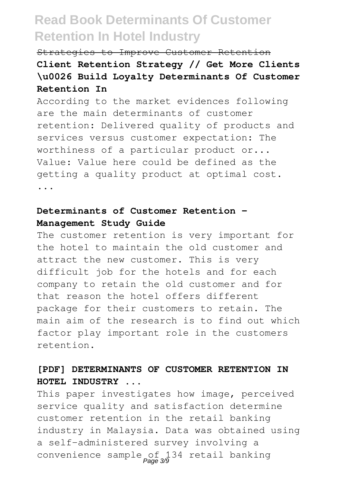## Strategies to Improve Customer Retention **Client Retention Strategy // Get More Clients \u0026 Build Loyalty Determinants Of Customer Retention In**

According to the market evidences following are the main determinants of customer retention: Delivered quality of products and services versus customer expectation: The worthiness of a particular product or... Value: Value here could be defined as the getting a quality product at optimal cost. ...

### **Determinants of Customer Retention - Management Study Guide**

The customer retention is very important for the hotel to maintain the old customer and attract the new customer. This is very difficult job for the hotels and for each company to retain the old customer and for that reason the hotel offers different package for their customers to retain. The main aim of the research is to find out which factor play important role in the customers retention.

## **[PDF] DETERMINANTS OF CUSTOMER RETENTION IN HOTEL INDUSTRY ...**

This paper investigates how image, perceived service quality and satisfaction determine customer retention in the retail banking industry in Malaysia. Data was obtained using a self-administered survey involving a convenience sample of 134 retail banking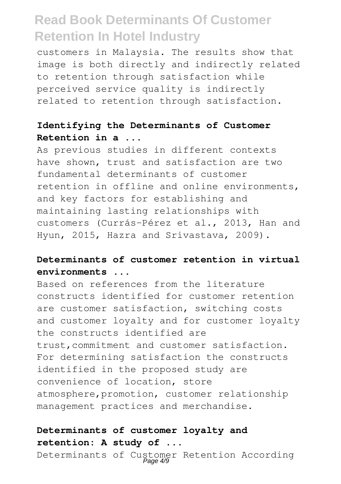customers in Malaysia. The results show that image is both directly and indirectly related to retention through satisfaction while perceived service quality is indirectly related to retention through satisfaction.

### **Identifying the Determinants of Customer Retention in a ...**

As previous studies in different contexts have shown, trust and satisfaction are two fundamental determinants of customer retention in offline and online environments, and key factors for establishing and maintaining lasting relationships with customers (Currás-Pérez et al., 2013, Han and Hyun, 2015, Hazra and Srivastava, 2009).

## **Determinants of customer retention in virtual environments ...**

Based on references from the literature constructs identified for customer retention are customer satisfaction, switching costs and customer loyalty and for customer loyalty the constructs identified are trust,commitment and customer satisfaction. For determining satisfaction the constructs identified in the proposed study are convenience of location, store atmosphere,promotion, customer relationship management practices and merchandise.

### **Determinants of customer loyalty and retention: A study of ...**

Determinants of Customer Retention According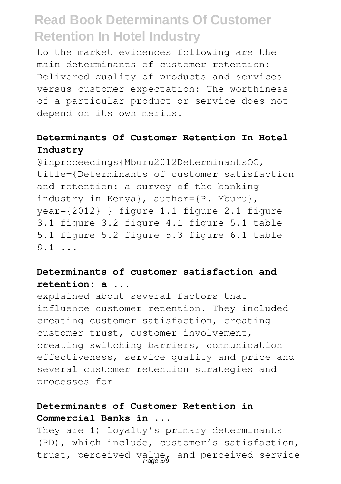to the market evidences following are the main determinants of customer retention: Delivered quality of products and services versus customer expectation: The worthiness of a particular product or service does not depend on its own merits.

### **Determinants Of Customer Retention In Hotel Industry**

@inproceedings{Mburu2012DeterminantsOC, title={Determinants of customer satisfaction and retention: a survey of the banking industry in Kenya}, author={P. Mburu}, year={2012} } figure 1.1 figure 2.1 figure 3.1 figure 3.2 figure 4.1 figure 5.1 table 5.1 figure 5.2 figure 5.3 figure 6.1 table 8.1 ...

### **Determinants of customer satisfaction and retention: a ...**

explained about several factors that influence customer retention. They included creating customer satisfaction, creating customer trust, customer involvement, creating switching barriers, communication effectiveness, service quality and price and several customer retention strategies and processes for

### **Determinants of Customer Retention in Commercial Banks in ...**

They are 1) loyalty's primary determinants (PD), which include, customer's satisfaction, trust, perceived value, and perceived service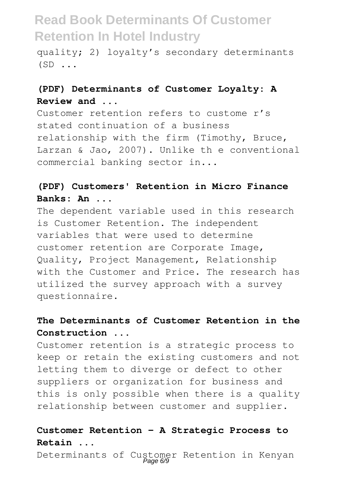quality; 2) loyalty's secondary determinants  $(SD \ldots$ 

## **(PDF) Determinants of Customer Loyalty: A Review and ...**

Customer retention refers to custome r's stated continuation of a business relationship with the firm (Timothy, Bruce, Larzan & Jao, 2007). Unlike th e conventional commercial banking sector in...

## **(PDF) Customers' Retention in Micro Finance Banks: An ...**

The dependent variable used in this research is Customer Retention. The independent variables that were used to determine customer retention are Corporate Image, Quality, Project Management, Relationship with the Customer and Price. The research has utilized the survey approach with a survey questionnaire.

## **The Determinants of Customer Retention in the Construction ...**

Customer retention is a strategic process to keep or retain the existing customers and not letting them to diverge or defect to other suppliers or organization for business and this is only possible when there is a quality relationship between customer and supplier.

#### **Customer Retention - A Strategic Process to Retain ...**

Determinants of Customer Retention in Kenyan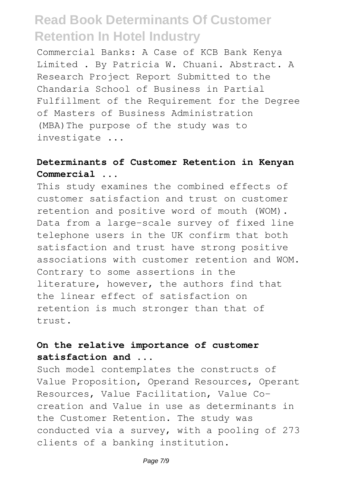Commercial Banks: A Case of KCB Bank Kenya Limited . By Patricia W. Chuani. Abstract. A Research Project Report Submitted to the Chandaria School of Business in Partial Fulfillment of the Requirement for the Degree of Masters of Business Administration (MBA)The purpose of the study was to investigate ...

## **Determinants of Customer Retention in Kenyan Commercial ...**

This study examines the combined effects of customer satisfaction and trust on customer retention and positive word of mouth (WOM). Data from a large-scale survey of fixed line telephone users in the UK confirm that both satisfaction and trust have strong positive associations with customer retention and WOM. Contrary to some assertions in the literature, however, the authors find that the linear effect of satisfaction on retention is much stronger than that of trust.

## **On the relative importance of customer satisfaction and ...**

Such model contemplates the constructs of Value Proposition, Operand Resources, Operant Resources, Value Facilitation, Value Cocreation and Value in use as determinants in the Customer Retention. The study was conducted via a survey, with a pooling of 273 clients of a banking institution.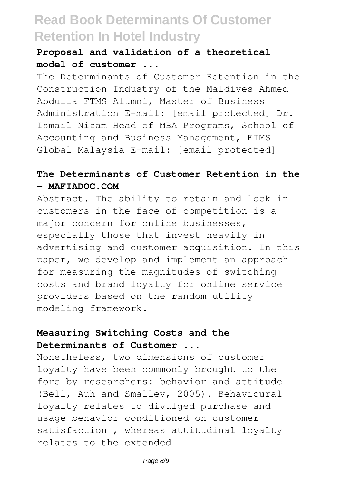## **Proposal and validation of a theoretical model of customer ...**

The Determinants of Customer Retention in the Construction Industry of the Maldives Ahmed Abdulla FTMS Alumni, Master of Business Administration E-mail: [email protected] Dr. Ismail Nizam Head of MBA Programs, School of Accounting and Business Management, FTMS Global Malaysia E-mail: [email protected]

### **The Determinants of Customer Retention in the - MAFIADOC.COM**

Abstract. The ability to retain and lock in customers in the face of competition is a major concern for online businesses, especially those that invest heavily in advertising and customer acquisition. In this paper, we develop and implement an approach for measuring the magnitudes of switching costs and brand loyalty for online service providers based on the random utility modeling framework.

### **Measuring Switching Costs and the Determinants of Customer ...**

Nonetheless, two dimensions of customer loyalty have been commonly brought to the fore by researchers: behavior and attitude (Bell, Auh and Smalley, 2005). Behavioural loyalty relates to divulged purchase and usage behavior conditioned on customer satisfaction , whereas attitudinal loyalty relates to the extended